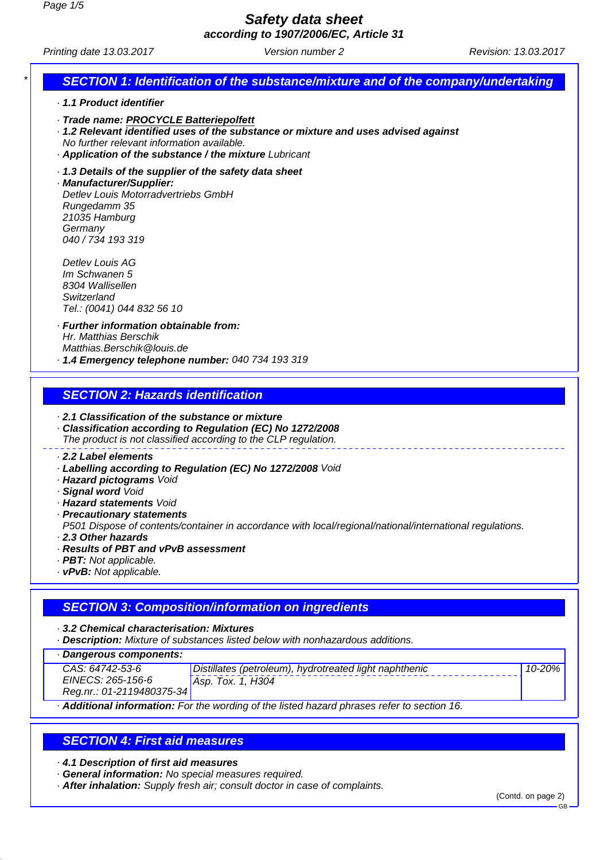**according to 1907/2006/EC, Article 31**

Printing date 13.03.2017 **Version number 2** Revision: 13.03.2017

# **SECTION 1: Identification of the substance/mixture and of the company/undertaking**

- · **1.1 Product identifier**
- · **Trade name: PROCYCLE Batteriepolfett**
- · **1.2 Relevant identified uses of the substance or mixture and uses advised against**
- No further relevant information available.
- · **Application of the substance / the mixture** Lubricant
- · **1.3 Details of the supplier of the safety data sheet**

· **Manufacturer/Supplier:** Detlev Louis Motorradvertriebs GmbH Rungedamm 35 21035 Hamburg **Germany** 040 / 734 193 319

Detlev Louis AG Im Schwanen 5 8304 Wallisellen **Switzerland** Tel.: (0041) 044 832 56 10

· **Further information obtainable from:** Hr. Matthias Berschik Matthias.Berschik@louis.de · **1.4 Emergency telephone number:** 040 734 193 319

## **SECTION 2: Hazards identification**

- · **2.1 Classification of the substance or mixture**
- · **Classification according to Regulation (EC) No 1272/2008** The product is not classified according to the CLP regulation.

#### · **2.2 Label elements**

- · **Labelling according to Regulation (EC) No 1272/2008** Void
- · **Hazard pictograms** Void
- · **Signal word** Void
- · **Hazard statements** Void
- · **Precautionary statements**

P501 Dispose of contents/container in accordance with local/regional/national/international regulations. · **2.3 Other hazards**

- 
- · **Results of PBT and vPvB assessment**
- · **PBT:** Not applicable.
- · **vPvB:** Not applicable.

## **SECTION 3: Composition/information on ingredients**

· **3.2 Chemical characterisation: Mixtures**

· **Description:** Mixture of substances listed below with nonhazardous additions.

· **Dangerous components:**

| _ _ _ _ _ _ _ _ _ _ _ _ _ _ _ _ _ _ |                                                        |        |
|-------------------------------------|--------------------------------------------------------|--------|
| CAS: 64742-53-6                     | Distillates (petroleum), hydrotreated light naphthenic | 10-20% |
| EINECS: 265-156-6                   | Asp. Tox. 1. H304                                      |        |
| Reg.nr.: 01-2119480375-34           |                                                        |        |

· **Additional information:** For the wording of the listed hazard phrases refer to section 16.

# **SECTION 4: First aid measures**

· **4.1 Description of first aid measures**

- · **General information:** No special measures required.
- · **After inhalation:** Supply fresh air; consult doctor in case of complaints.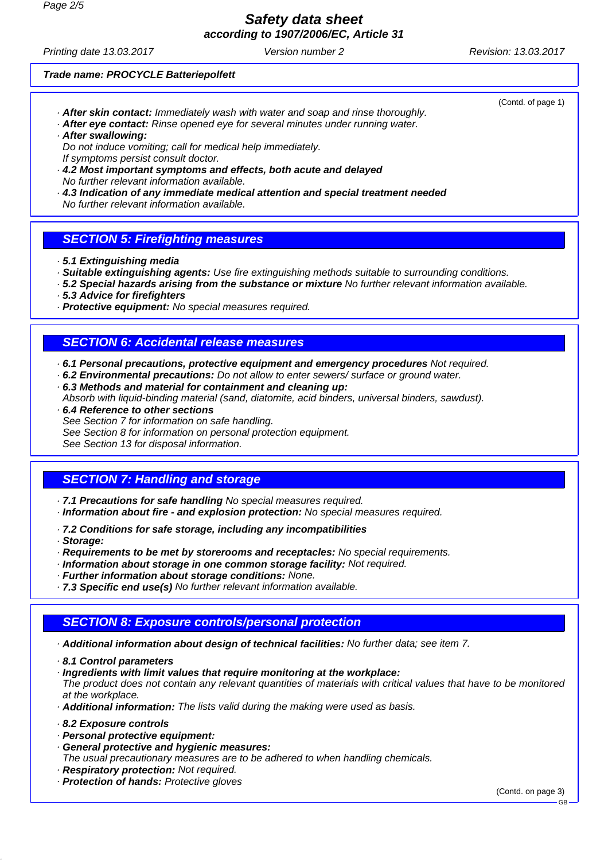**according to 1907/2006/EC, Article 31**

Printing date 13.03.2017 **Version number 2** Revision: 13.03.2017

(Contd. of page 1)

#### **Trade name: PROCYCLE Batteriepolfett**

- · **After skin contact:** Immediately wash with water and soap and rinse thoroughly.
- · **After eye contact:** Rinse opened eye for several minutes under running water. · **After swallowing:**

Do not induce vomiting; call for medical help immediately. If symptoms persist consult doctor.

- · **4.2 Most important symptoms and effects, both acute and delayed** No further relevant information available.
- · **4.3 Indication of any immediate medical attention and special treatment needed** No further relevant information available.
- **SECTION 5: Firefighting measures**
- · **5.1 Extinguishing media**
- · **Suitable extinguishing agents:** Use fire extinguishing methods suitable to surrounding conditions.
- · **5.2 Special hazards arising from the substance or mixture** No further relevant information available.
- · **5.3 Advice for firefighters**
- · **Protective equipment:** No special measures required.

# **SECTION 6: Accidental release measures**

- · **6.1 Personal precautions, protective equipment and emergency procedures** Not required.
- · **6.2 Environmental precautions:** Do not allow to enter sewers/ surface or ground water.
- · **6.3 Methods and material for containment and cleaning up:**

Absorb with liquid-binding material (sand, diatomite, acid binders, universal binders, sawdust).

· **6.4 Reference to other sections**

See Section 7 for information on safe handling.

See Section 8 for information on personal protection equipment.

See Section 13 for disposal information.

## **SECTION 7: Handling and storage**

· **7.1 Precautions for safe handling** No special measures required.

- · **Information about fire and explosion protection:** No special measures required.
- · **7.2 Conditions for safe storage, including any incompatibilities**
- · **Storage:**
- · **Requirements to be met by storerooms and receptacles:** No special requirements.
- · **Information about storage in one common storage facility:** Not required.
- · **Further information about storage conditions:** None.

· **7.3 Specific end use(s)** No further relevant information available.

## **SECTION 8: Exposure controls/personal protection**

· **Additional information about design of technical facilities:** No further data; see item 7.

· **8.1 Control parameters**

· **Ingredients with limit values that require monitoring at the workplace:**

The product does not contain any relevant quantities of materials with critical values that have to be monitored at the workplace.

· **Additional information:** The lists valid during the making were used as basis.

· **8.2 Exposure controls**

- · **Personal protective equipment:**
- · **General protective and hygienic measures:**

The usual precautionary measures are to be adhered to when handling chemicals.

- · **Respiratory protection:** Not required.
- · **Protection of hands:** Protective gloves

(Contd. on page 3)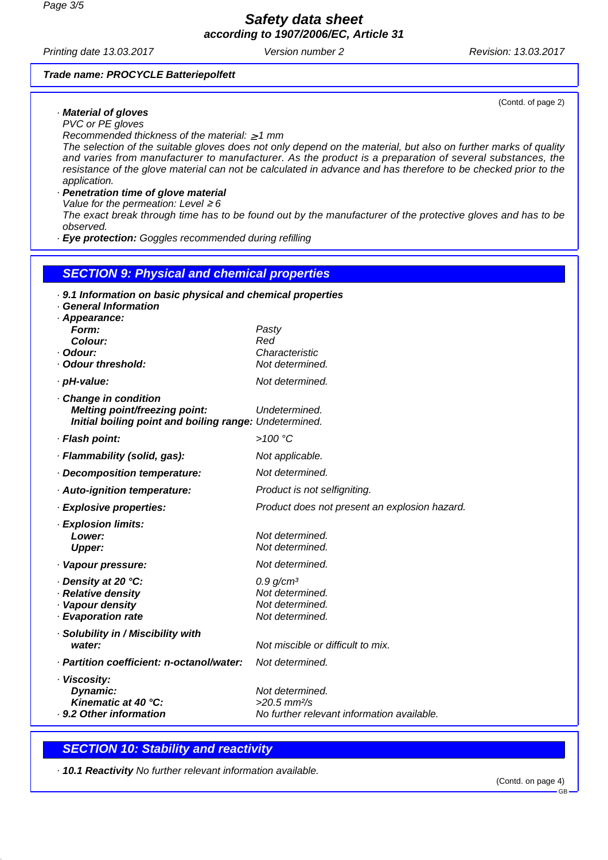**according to 1907/2006/EC, Article 31**

Printing date 13.03.2017 **Version number 2** Revision: 13.03.2017

(Contd. of page 2)

### **Trade name: PROCYCLE Batteriepolfett**

### · **Material of gloves**

PVC or PE gloves

Recommended thickness of the material:  $\geq 1$  mm

The selection of the suitable gloves does not only depend on the material, but also on further marks of quality and varies from manufacturer to manufacturer. As the product is a preparation of several substances, the resistance of the glove material can not be calculated in advance and has therefore to be checked prior to the application.

### · **Penetration time of glove material**

Value for the permeation: Level  $\geq 6$ 

The exact break through time has to be found out by the manufacturer of the protective gloves and has to be observed.

· **Eye protection:** Goggles recommended during refilling

### **SECTION 9: Physical and chemical properties**

| · 9.1 Information on basic physical and chemical properties<br>· General Information                           |                                                                        |
|----------------------------------------------------------------------------------------------------------------|------------------------------------------------------------------------|
| · Appearance:                                                                                                  |                                                                        |
| Form:                                                                                                          | Pasty                                                                  |
| Colour:<br>· Odour:                                                                                            | Red<br>Characteristic                                                  |
| Odour threshold:                                                                                               | Not determined.                                                        |
| · pH-value:                                                                                                    | Not determined.                                                        |
| Change in condition<br>Melting point/freezing point:<br>Initial boiling point and boiling range: Undetermined. | Undetermined.                                                          |
| · Flash point:                                                                                                 | $>100$ °C                                                              |
| · Flammability (solid, gas):                                                                                   | Not applicable.                                                        |
| Decomposition temperature:                                                                                     | Not determined.                                                        |
| · Auto-ignition temperature:                                                                                   | Product is not selfigniting.                                           |
| · Explosive properties:                                                                                        | Product does not present an explosion hazard.                          |
| · Explosion limits:                                                                                            |                                                                        |
| Lower:                                                                                                         | Not determined.                                                        |
| <b>Upper:</b>                                                                                                  | Not determined.                                                        |
| · Vapour pressure:                                                                                             | Not determined.                                                        |
| · Density at 20 ℃:                                                                                             | 0.9 g/cm <sup>3</sup>                                                  |
| · Relative density<br>· Vapour density                                                                         | Not determined.<br>Not determined.                                     |
| · Evaporation rate                                                                                             | Not determined.                                                        |
| · Solubility in / Miscibility with                                                                             |                                                                        |
| water:                                                                                                         | Not miscible or difficult to mix.                                      |
| · Partition coefficient: n-octanol/water:                                                                      | Not determined.                                                        |
| · Viscosity:                                                                                                   |                                                                        |
| Dynamic:                                                                                                       | Not determined.                                                        |
| Kinematic at 40 °C:<br>· 9.2 Other information                                                                 | $>20.5$ mm $\frac{2}{s}$<br>No further relevant information available. |
|                                                                                                                |                                                                        |

## **SECTION 10: Stability and reactivity**

· **10.1 Reactivity** No further relevant information available.

(Contd. on page 4)

GB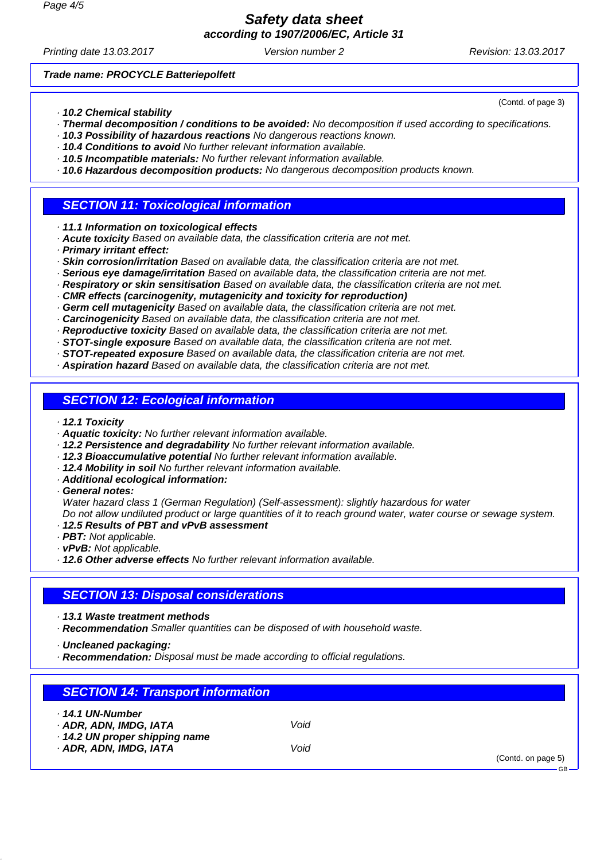**according to 1907/2006/EC, Article 31**

Printing date 13.03.2017 **Version number 2** Revision: 13.03.2017

(Contd. of page 3)

**Trade name: PROCYCLE Batteriepolfett**

- · **10.2 Chemical stability**
- · **Thermal decomposition / conditions to be avoided:** No decomposition if used according to specifications.
- · **10.3 Possibility of hazardous reactions** No dangerous reactions known.
- · **10.4 Conditions to avoid** No further relevant information available.
- · **10.5 Incompatible materials:** No further relevant information available.
- · **10.6 Hazardous decomposition products:** No dangerous decomposition products known.

### **SECTION 11: Toxicological information**

- · **11.1 Information on toxicological effects**
- · **Acute toxicity** Based on available data, the classification criteria are not met.
- · **Primary irritant effect:**
- · **Skin corrosion/irritation** Based on available data, the classification criteria are not met.
- · **Serious eye damage/irritation** Based on available data, the classification criteria are not met.
- · **Respiratory or skin sensitisation** Based on available data, the classification criteria are not met.
- · **CMR effects (carcinogenity, mutagenicity and toxicity for reproduction)**
- · **Germ cell mutagenicity** Based on available data, the classification criteria are not met.
- · **Carcinogenicity** Based on available data, the classification criteria are not met.
- · **Reproductive toxicity** Based on available data, the classification criteria are not met.
- · **STOT-single exposure** Based on available data, the classification criteria are not met.
- · **STOT-repeated exposure** Based on available data, the classification criteria are not met.
- · **Aspiration hazard** Based on available data, the classification criteria are not met.

## **SECTION 12: Ecological information**

- · **12.1 Toxicity**
- · **Aquatic toxicity:** No further relevant information available.
- · **12.2 Persistence and degradability** No further relevant information available.
- · **12.3 Bioaccumulative potential** No further relevant information available.
- · **12.4 Mobility in soil** No further relevant information available.
- · **Additional ecological information:**
- · **General notes:**

Water hazard class 1 (German Regulation) (Self-assessment): slightly hazardous for water Do not allow undiluted product or large quantities of it to reach ground water, water course or sewage system.

- · **12.5 Results of PBT and vPvB assessment**
- · **PBT:** Not applicable.
- · **vPvB:** Not applicable.
- · **12.6 Other adverse effects** No further relevant information available.

# **SECTION 13: Disposal considerations**

- · **13.1 Waste treatment methods**
- · **Recommendation** Smaller quantities can be disposed of with household waste.
- · **Uncleaned packaging:**
- · **Recommendation:** Disposal must be made according to official regulations.

| <b>SECTION 14: Transport information</b>                                     |      |                                  |
|------------------------------------------------------------------------------|------|----------------------------------|
| . 14.1 UN-Number<br>· ADR, ADN, IMDG, IATA<br>· 14.2 UN proper shipping name | Void |                                  |
| · ADR, ADN, IMDG, IATA                                                       | Void | (Contd. on page 5)<br>$-$ GB $-$ |